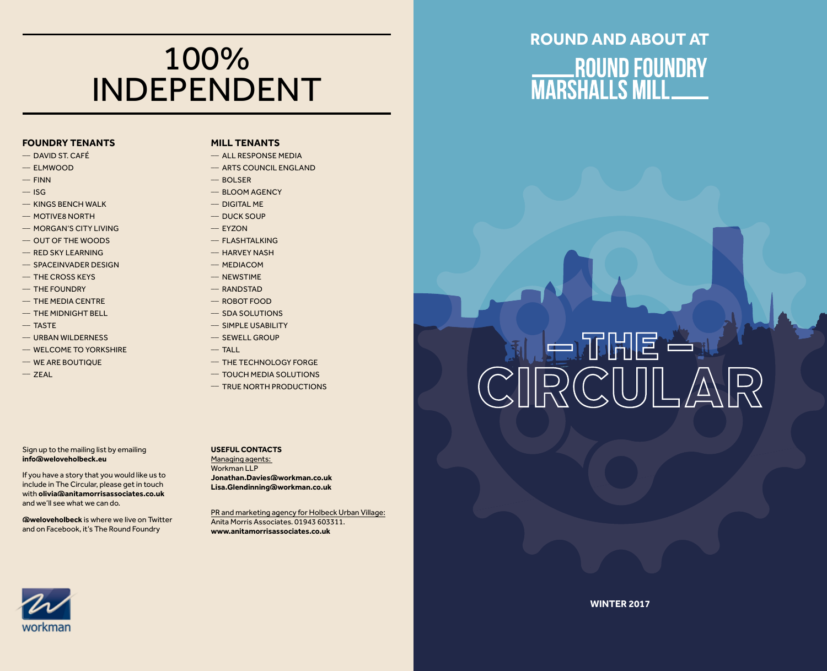### 100% INDEPENDENT

#### **FOUNDRY TENANTS**

- $-$  DAVID ST. CAFÉ
- $-$  ELMWOOD
- $-$  FINN
- $-$  ISG
- $-$  KINGS BENCH WALK
- \_\_ MOTIVE8 NORTH
- \_\_ MORGAN'S CITY LIVING
- \_\_ OUT OF THE WOODS
- \_\_ RED SKY LEARNING
- $-$  SPACEINVADER DESIGN
- $-$  THE CROSS KEYS
- $-$  THE FOUNDRY
- $-$  THE MEDIA CENTRE
- \_\_ THE MIDNIGHT BELL
- $-$  TASTE
- \_\_ URBAN WILDERNESS
- \_\_ WELCOME TO YORKSHIRE
- \_\_ WE ARE BOUTIQUE
- $-$  ZEAL

#### **MILL TENANTS**

- $-$  ALL RESPONSE MEDIA
- $-$  ARTS COUNCIL ENGLAND
- $-$  ROLSER
	- \_\_ BLOOM AGENCY
	- $-$  DIGITAL MF
	- \_\_ DUCK SOUP
	- $-$  EYZON
	- \_\_ FLASHTALKING
	- \_\_ HARVEY NASH
	- $-$  MEDIACOM
	- \_\_ NEWSTIME
	- \_\_ RANDSTAD
	- $-$  ROBOT FOOD
	- $-$  SDA SOLUTIONS
	- \_\_ SIMPLE USABILITY
	- \_\_ SEWELL GROUP
- $-$  TALL
	- \_\_ THE TECHNOLOGY FORGE
	- \_\_ TOUCH MEDIA SOLUTIONS
	- $-$  TRUE NORTH PRODUCTIONS

Sign up to the mailing list by emailing **info@weloveholbeck.eu**

If you have a story that you would like us to include in The Circular, please get in touch with **olivia@anitamorrisassociates.co.uk** and we'll see what we can do.

**@weloveholbeck** is where we live on Twitter and on Facebook, it's The Round Foundry

### **Useful Contacts**

Managing agents: Workman LLP **Jonathan.Davies@workman.co.uk Lisa.Glendinning@workman.co.uk**

PR and marketing agency for Holbeck Urban Village: Anita Morris Associates. 01943 603311. **www.anitamorrisassociates.co.uk**

# **Round and about AT** ROUND FOUNDRY<br>MARSHALLS MILL

# 利后开出目当 CIRCULA

# workmar

**WINTER 2017**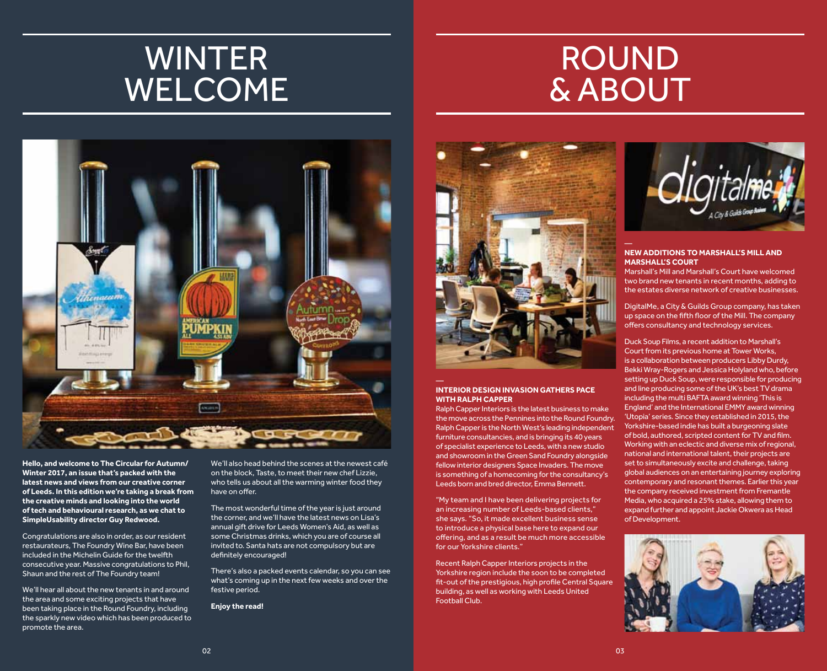## **WINTER WELCOME**

# **ROUND** & About



**Hello, and welcome to The Circular for Autumn/ Winter 2017, an issue that's packed with the latest news and views from our creative corner of Leeds. In this edition we're taking a break from the creative minds and looking into the world of tech and behavioural research, as we chat to SimpleUsability director Guy Redwood.** 

Congratulations are also in order, as our resident restaurateurs, The Foundry Wine Bar, have been included in the Michelin Guide for the twelfth consecutive year. Massive congratulations to Phil, Shaun and the rest of The Foundry team!

We'll hear all about the new tenants in and around the area and some exciting projects that have been taking place in the Round Foundry, including the sparkly new video which has been produced to promote the area.

We'll also head behind the scenes at the newest café on the block, Taste, to meet their new chef Lizzie, who tells us about all the warming winter food they have on offer.

The most wonderful time of the year is just around the corner, and we'll have the latest news on Lisa's annual gift drive for Leeds Women's Aid, as well as some Christmas drinks, which you are of course all invited to. Santa hats are not compulsory but are definitely encouraged!

There's also a packed events calendar, so you can see what's coming up in the next few weeks and over the festive period.

**Enjoy the read!**



#### **INTERIOR DESIGN INVASION GATHERS PACE WITH RALPH CAPPER**

Ralph Capper Interiors is the latest business to make the move across the Pennines into the Round Foundry. Ralph Capper is the North West's leading independent furniture consultancies, and is bringing its 40 years of specialist experience to Leeds, with a new studio and showroom in the Green Sand Foundry alongside fellow interior designers Space Invaders. The move is something of a homecoming for the consultancy's Leeds born and bred director, Emma Bennett.

"My team and I have been delivering projects for an increasing number of Leeds-based clients," she says. "So, it made excellent business sense to introduce a physical base here to expand our offering, and as a result be much more accessible for our Yorkshire clients."

Recent Ralph Capper Interiors projects in the Yorkshire region include the soon to be completed fit-out of the prestigious, high profile Central Square building, as well as working with Leeds United Football Club.



#### **NEW ADDITIONS TO MARSHALL'S MILL AND MARSHALL'S COURT**

Marshall's Mill and Marshall's Court have welcomed two brand new tenants in recent months, adding to the estates diverse network of creative businesses.

DigitalMe, a City & Guilds Group company, has taken up space on the fifth floor of the Mill. The company offers consultancy and technology services.

Duck Soup Films, a recent addition to Marshall's Court from its previous home at Tower Works, is a collaboration between producers Libby Durdy, Bekki Wray-Rogers and Jessica Holyland who, before setting up Duck Soup, were responsible for producing and line producing some of the UK's best TV drama including the multi BAFTA award winning 'This is England' and the International EMMY award winning 'Utopia' series. Since they established in 2015, the Yorkshire-based indie has built a burgeoning slate of bold, authored, scripted content for TV and film. Working with an eclectic and diverse mix of regional, national and international talent, their projects are set to simultaneously excite and challenge, taking global audiences on an entertaining journey exploring contemporary and resonant themes. Earlier this year the company received investment from Fremantle Media, who acquired a 25% stake, allowing them to expand further and appoint Jackie Okwera as Head of Development.

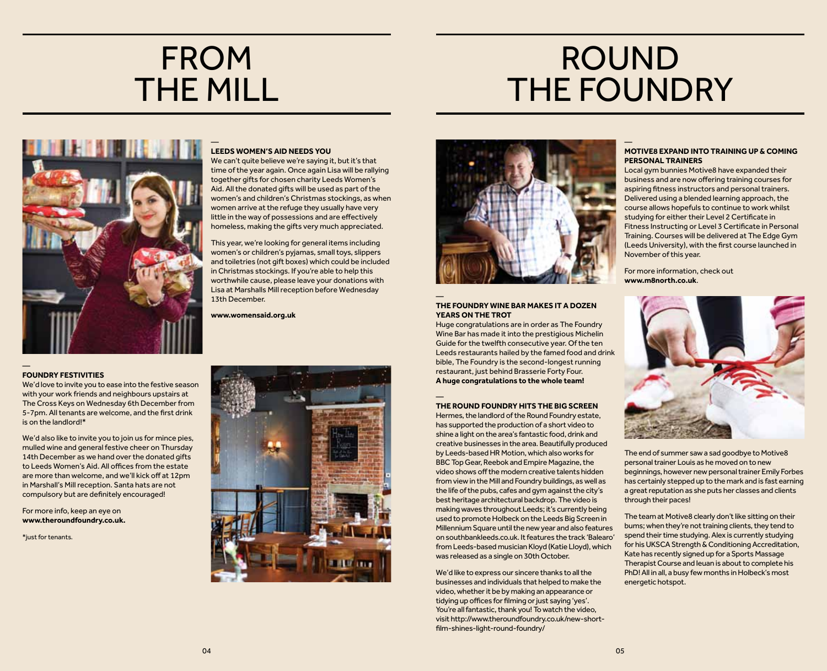### **FROM** THE MILL

## Round **THE FOUNDRY**



#### — **LEEDS WOMEN'S AID NEEDS YOU**

We can't quite believe we're saying it, but it's that time of the year again. Once again Lisa will be rallying together gifts for chosen charity Leeds Women's Aid. All the donated gifts will be used as part of the women's and children's Christmas stockings, as when women arrive at the refuge they usually have very little in the way of possessions and are effectively homeless, making the gifts very much appreciated.

This year, we're looking for general items including women's or children's pyjamas, small toys, slippers and toiletries (not gift boxes) which could be included in Christmas stockings. If you're able to help this worthwhile cause, please leave your donations with Lisa at Marshalls Mill reception before Wednesday 13th December.

**www.womensaid.org.uk**

#### **FOUNDRY FESTIVITIES**

—

We'd love to invite you to ease into the festive season with your work friends and neighbours upstairs at The Cross Keys on Wednesday 6th December from 5-7pm. All tenants are welcome, and the first drink is on the landlord!\*

We'd also like to invite you to join us for mince pies, mulled wine and general festive cheer on Thursday 14th December as we hand over the donated gifts to Leeds Women's Aid. All offices from the estate are more than welcome, and we'll kick off at 12pm in Marshall's Mill reception. Santa hats are not compulsory but are definitely encouraged!

For more info, keep an eye on **www.theroundfoundry.co.uk.**

\*just for tenants.





#### — **THE FOUNDRY WINE BAR MAKES IT A DOZEN YEARS ON THE TROT**

Huge congratulations are in order as The Foundry Wine Bar has made it into the prestigious Michelin Guide for the twelfth consecutive year. Of the ten Leeds restaurants hailed by the famed food and drink bible, The Foundry is the second-longest running restaurant, just behind Brasserie Forty Four. **A huge congratulations to the whole team!**

#### — **THE ROUND FOUNDRY HITS THE BIG SCREEN**

Hermes, the landlord of the Round Foundry estate, has supported the production of a short video to shine a light on the area's fantastic food, drink and creative businesses in the area. Beautifully produced by Leeds-based HR Motion, which also works for BBC Top Gear, Reebok and Empire Magazine, the video shows off the modern creative talents hidden from view in the Mill and Foundry buildings, as well as the life of the pubs, cafes and gym against the city's best heritage architectural backdrop. The video is making waves throughout Leeds; it's currently being used to promote Holbeck on the Leeds Big Screen in Millennium Square until the new year and also features on southbankleeds.co.uk. It features the track 'Balearo' from Leeds-based musician Kloyd (Katie Lloyd), which was released as a single on 30th October.

We'd like to express our sincere thanks to all the businesses and individuals that helped to make the video, whether it be by making an appearance or tidying up offices for filming or just saying 'yes'. You're all fantastic, thank you! To watch the video, visit http://www.theroundfoundry.co.uk/new-shortfilm-shines-light-round-foundry/

#### — **MOTIVE8 EXPAND INTO TRAINING UP & COMING PERSONAL TRAINERS**

Local gym bunnies Motive8 have expanded their business and are now offering training courses for aspiring fitness instructors and personal trainers. Delivered using a blended learning approach, the course allows hopefuls to continue to work whilst studying for either their Level 2 Certificate in Fitness Instructing or Level 3 Certificate in Personal Training. Courses will be delivered at The Edge Gym (Leeds University), with the first course launched in November of this year.

For more information, check out **www.m8north.co.uk**.



The end of summer saw a sad goodbye to Motive8 personal trainer Louis as he moved on to new beginnings, however new personal trainer Emily Forbes has certainly stepped up to the mark and is fast earning a great reputation as she puts her classes and clients through their paces!

The team at Motive8 clearly don't like sitting on their bums; when they're not training clients, they tend to spend their time studying. Alex is currently studying for his UKSCA Strength & Conditioning Accreditation, Kate has recently signed up for a Sports Massage Therapist Course and Ieuan is about to complete his PhD! All in all, a busy few months in Holbeck's most energetic hotspot.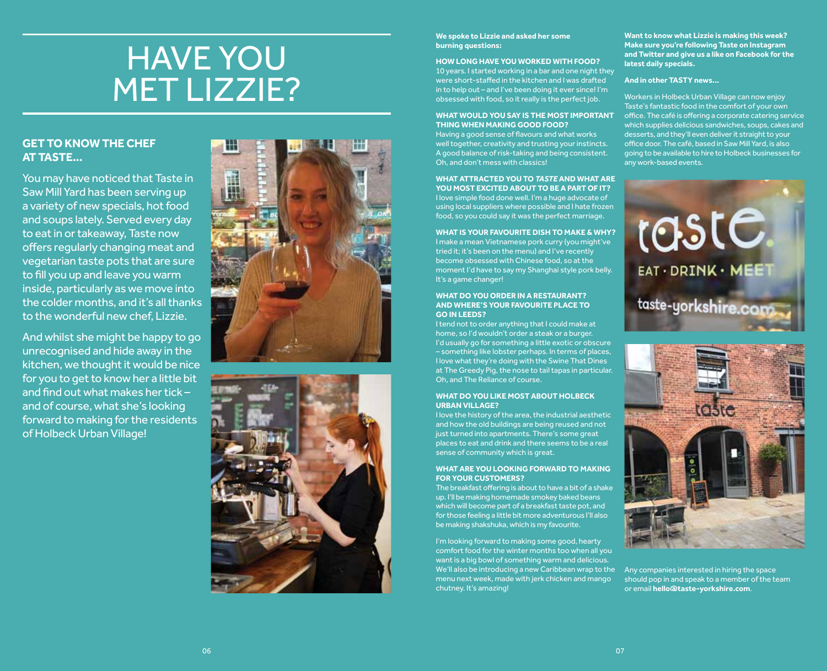## Have you **MET LIZZIE?**

### **GET TO KNOW THE CHEF AT TASTE...**

You may have noticed that Taste in Saw Mill Yard has been serving up a variety of new specials, hot food and soups lately. Served every day to eat in or takeaway, Taste now offers regularly changing meat and vegetarian taste pots that are sure to fill you up and leave you warm inside, particularly as we move into the colder months, and it's all thanks to the wonderful new chef, Lizzie.

And whilst she might be happy to go unrecognised and hide away in the kitchen, we thought it would be nice for you to get to know her a little bit and find out what makes her tick – and of course, what she's looking forward to making for the residents of Holbeck Urban Village!





#### **We spoke to Lizzie and asked her some burning questions:**

### **HOW LONG HAVE YOU WORKED WITH FOOD?**

10 years. I started working in a bar and one night they were short-staffed in the kitchen and I was drafted in to help out – and I've been doing it ever since! I'm obsessed with food, so it really is the perfect job.

#### **WHAT WOULD YOU SAY IS THE MOST IMPORTANT THING WHEN MAKING GOOD FOOD?**

Having a good sense of flavours and what works well together, creativity and trusting your instincts. A good balance of risk-taking and being consistent. Oh, and don't mess with classics!

#### **WHAT ATTRACTED YOU TO** *TASTE* **AND WHAT ARE YOU MOST EXCITED ABOUT TO BE A PART OF IT?**

I love simple food done well. I'm a huge advocate of using local suppliers where possible and I hate frozen food, so you could say it was the perfect marriage.

**WHAT IS YOUR FAVOURITE DISH TO MAKE & WHY?** I make a mean Vietnamese pork curry (you might've tried it; it's been on the menu) and I've recently become obsessed with Chinese food, so at the moment I'd have to say my Shanghai style pork belly. It's a game changer!

#### **WHAT DO YOU ORDER IN A RESTAURANT? AND WHERE'S YOUR FAVOURITE PLACE TO GO IN LEEDS?**

I tend not to order anything that I could make at home, so I'd wouldn't order a steak or a burger. I'd usually go for something a little exotic or obscure – something like lobster perhaps. In terms of places, I love what they're doing with the Swine That Dines at The Greedy Pig, the nose to tail tapas in particular. Oh, and The Reliance of course.

#### **WHAT DO YOU LIKE MOST ABOUT HOLBECK URBAN VILLAGE?**

I love the history of the area, the industrial aesthetic and how the old buildings are being reused and not just turned into apartments. There's some great places to eat and drink and there seems to be a real sense of community which is great.

#### **WHAT ARE YOU LOOKING FORWARD TO MAKING FOR YOUR CUSTOMERS?**

The breakfast offering is about to have a bit of a shake up. I'll be making homemade smokey baked beans which will become part of a breakfast taste pot, and for those feeling a little bit more adventurous I'll also be making shakshuka, which is my favourite.

I'm looking forward to making some good, hearty comfort food for the winter months too when all you want is a big bowl of something warm and delicious. We'll also be introducing a new Caribbean wrap to the menu next week, made with jerk chicken and mango chutney. It's amazing!

**Want to know what Lizzie is making this week? Make sure you're following Taste on Instagram and Twitter and give us a like on Facebook for the latest daily specials.**

#### **And in other TASTY news…**

Workers in Holbeck Urban Village can now enjoy Taste's fantastic food in the comfort of your own office. The café is offering a corporate catering service which supplies delicious sandwiches, soups, cakes and desserts, and they'll even deliver it straight to your office door. The café, based in Saw Mill Yard, is also going to be available to hire to Holbeck businesses for any work-based events.





Any companies interested in hiring the space should pop in and speak to a member of the team or email **hello@taste-yorkshire.com**.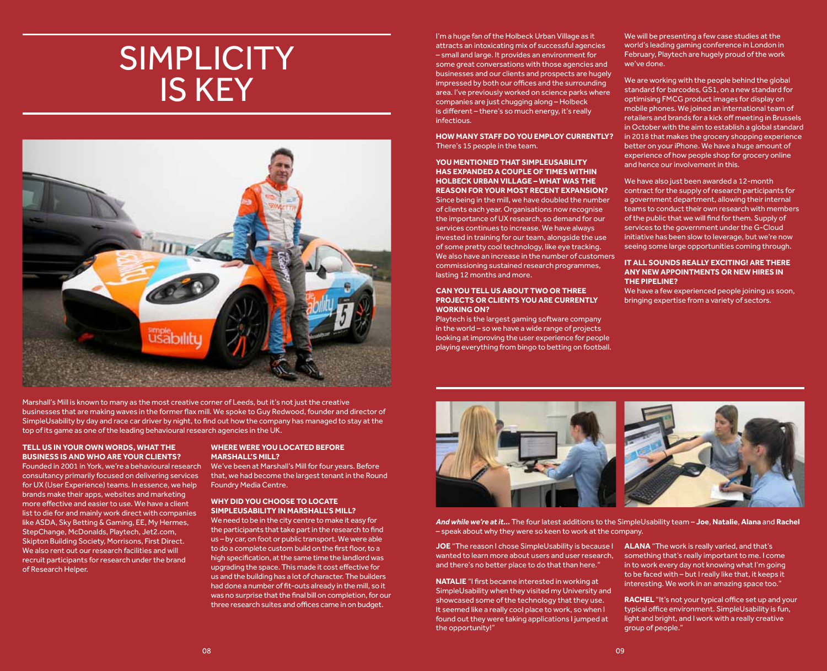### **SIMPLICITY** is key



Marshall's Mill is known to many as the most creative corner of Leeds, but it's not just the creative businesses that are making waves in the former flax mill. We spoke to Guy Redwood, founder and director of SimpleUsability by day and race car driver by night, to find out how the company has managed to stay at the top of its game as one of the leading behavioural research agencies in the UK.

#### **TELL US IN YOUR OWN WORDS, WHAT THE BUSINESS IS AND WHO ARE YOUR CLIENTS?**

Founded in 2001 in York, we're a behavioural research consultancy primarily focused on delivering services for UX (User Experience) teams. In essence, we help brands make their apps, websites and marketing more effective and easier to use. We have a client list to die for and mainly work direct with companies like ASDA, Sky Betting & Gaming, EE, My Hermes, StepChange, McDonalds, Playtech, Jet2.com, Skipton Building Society, Morrisons, First Direct. We also rent out our research facilities and will recruit participants for research under the brand of Research Helper.

#### **WHERE WERE YOU LOCATED BEFORE MARSHALL'S MILL?**

We've been at Marshall's Mill for four years. Before that, we had become the largest tenant in the Round Foundry Media Centre.

#### **WHY DID YOU CHOOSE TO LOCATE SIMPLEUSABILITY IN MARSHALL'S MILL?**

We need to be in the city centre to make it easy for the participants that take part in the research to find us – by car, on foot or public transport. We were able to do a complete custom build on the first floor, to a high specification, at the same time the landlord was upgrading the space. This made it cost effective for us and the building has a lot of character. The builders had done a number of fit-outs already in the mill, so it was no surprise that the final bill on completion, for our three research suites and offices came in on budget.

I'm a huge fan of the Holbeck Urban Village as it attracts an intoxicating mix of successful agencies – small and large. It provides an environment for some great conversations with those agencies and businesses and our clients and prospects are hugely impressed by both our offices and the surrounding area. I've previously worked on science parks where companies are just chugging along – Holbeck is different – there's so much energy, it's really infectious.

**HOW MANY STAFF DO YOU EMPLOY CURRENTLY?** There's 15 people in the team.

#### **YOU MENTIONED THAT SIMPLEUSABILITY HAS EXPANDED A COUPLE OF TIMES WITHIN HOLBECK URBAN VILLAGE – WHAT WAS THE REASON FOR YOUR MOST RECENT EXPANSION?** Since being in the mill, we have doubled the number of clients each year. Organisations now recognise the importance of UX research, so demand for our services continues to increase. We have always invested in training for our team, alongside the use

of some pretty cool technology, like eye tracking. We also have an increase in the number of customers commissioning sustained research programmes, lasting 12 months and more.

#### **CAN YOU TELL US ABOUT TWO OR THREE PROJECTS OR CLIENTS YOU ARE CURRENTLY WORKING ON?**

Playtech is the largest gaming software company in the world – so we have a wide range of projects looking at improving the user experience for people playing everything from bingo to betting on football. We will be presenting a few case studies at the world's leading gaming conference in London in February, Playtech are hugely proud of the work we've done.

We are working with the people behind the global standard for barcodes, GS1, on a new standard for optimising FMCG product images for display on mobile phones. We joined an international team of retailers and brands for a kick off meeting in Brussels in October with the aim to establish a global standard in 2018 that makes the grocery shopping experience better on your iPhone. We have a huge amount of experience of how people shop for grocery online and hence our involvement in this.

We have also just been awarded a 12-month contract for the supply of research participants for a government department, allowing their internal teams to conduct their own research with members of the public that we will find for them. Supply of services to the government under the G-Cloud initiative has been slow to leverage, but we're now seeing some large opportunities coming through.

#### **IT ALL SOUNDS REALLY EXCITING! ARE THERE ANY NEW APPOINTMENTS OR NEW HIRES IN THE PIPELINE?**

We have a few experienced people joining us soon, bringing expertise from a variety of sectors.



*And while we're at it…* The four latest additions to the SimpleUsability team – **Joe**, **Natalie**, **Alana** and **Rachel** – speak about why they were so keen to work at the company.

**JOE** "The reason I chose SimpleUsability is because I wanted to learn more about users and user research, and there's no better place to do that than here."

**NATALIE** "I first became interested in working at SimpleUsability when they visited my University and showcased some of the technology that they use. It seemed like a really cool place to work, so when I found out they were taking applications I jumped at the opportunity!"

**ALANA** "The work is really varied, and that's something that's really important to me. I come in to work every day not knowing what I'm going to be faced with – but I really like that, it keeps it interesting. We work in an amazing space too."

**RACHEL** "It's not your typical office set up and your typical office environment. SimpleUsability is fun, light and bright, and I work with a really creative group of people."